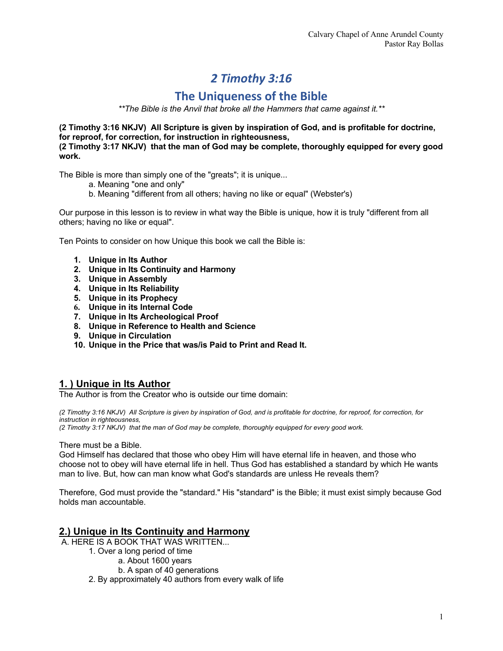# *2 Timothy 3:16*

## **The Uniqueness of the Bible**

*\*\*The Bible is the Anvil that broke all the Hammers that came against it.\*\**

**(2 Timothy 3:16 NKJV) All Scripture is given by inspiration of God, and is profitable for doctrine, for reproof, for correction, for instruction in righteousness,**

**(2 Timothy 3:17 NKJV) that the man of God may be complete, thoroughly equipped for every good work.**

The Bible is more than simply one of the "greats"; it is unique...

- a. Meaning "one and only"
- b. Meaning "different from all others; having no like or equal" (Webster's)

Our purpose in this lesson is to review in what way the Bible is unique, how it is truly "different from all others; having no like or equal".

Ten Points to consider on how Unique this book we call the Bible is:

- **1. Unique in Its Author**
- **2. Unique in Its Continuity and Harmony**
- **3. Unique in Assembly**
- **4. Unique in Its Reliability**
- **5. Unique in its Prophecy**
- **6. Unique in its Internal Code**
- **7. Unique in Its Archeological Proof**
- **8. Unique in Reference to Health and Science**
- **9. Unique in Circulation**
- **10. Unique in the Price that was/is Paid to Print and Read It.**

## **1. ) Unique in Its Author**

The Author is from the Creator who is outside our time domain:

*(2 Timothy 3:16 NKJV) All Scripture is given by inspiration of God, and is profitable for doctrine, for reproof, for correction, for instruction in righteousness,*

*(2 Timothy 3:17 NKJV) that the man of God may be complete, thoroughly equipped for every good work.*

There must be a Bible.

God Himself has declared that those who obey Him will have eternal life in heaven, and those who choose not to obey will have eternal life in hell. Thus God has established a standard by which He wants man to live. But, how can man know what God's standards are unless He reveals them?

Therefore, God must provide the "standard." His "standard" is the Bible; it must exist simply because God holds man accountable.

## **2.) Unique in Its Continuity and Harmony**

A. HERE IS A BOOK THAT WAS WRITTEN...

- 1. Over a long period of time
	- a. About 1600 years
	- b. A span of 40 generations

2. By approximately 40 authors from every walk of life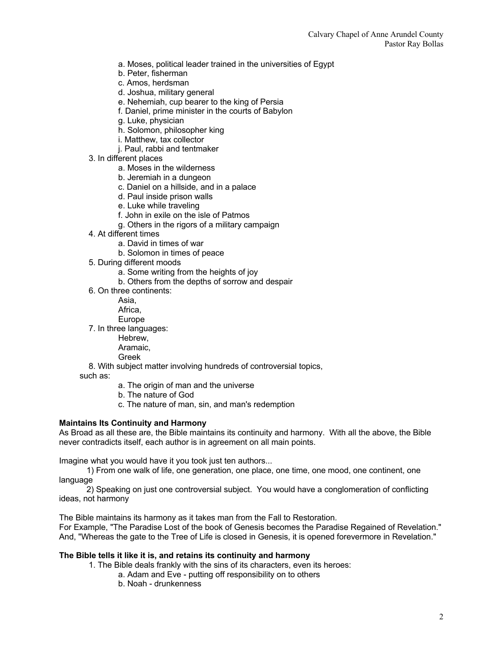- a. Moses, political leader trained in the universities of Egypt
- b. Peter, fisherman
- c. Amos, herdsman
- d. Joshua, military general
- e. Nehemiah, cup bearer to the king of Persia
- f. Daniel, prime minister in the courts of Babylon
- g. Luke, physician
- h. Solomon, philosopher king
- i. Matthew, tax collector
- j. Paul, rabbi and tentmaker
- 3. In different places
	- a. Moses in the wilderness
	- b. Jeremiah in a dungeon
	- c. Daniel on a hillside, and in a palace
	- d. Paul inside prison walls
	- e. Luke while traveling
	- f. John in exile on the isle of Patmos
	- g. Others in the rigors of a military campaign
- 4. At different times
	- a. David in times of war
	- b. Solomon in times of peace
- 5. During different moods
	- a. Some writing from the heights of joy
	- b. Others from the depths of sorrow and despair
- 6. On three continents:

Asia,

Africa,

Europe

- 7. In three languages:
	- Hebrew,
	- Aramaic,
	- Greek

8. With subject matter involving hundreds of controversial topics,

- such as:
	- a. The origin of man and the universe
	- b. The nature of God
	- c. The nature of man, sin, and man's redemption

#### **Maintains Its Continuity and Harmony**

As Broad as all these are, the Bible maintains its continuity and harmony. With all the above, the Bible never contradicts itself, each author is in agreement on all main points.

Imagine what you would have it you took just ten authors...

 1) From one walk of life, one generation, one place, one time, one mood, one continent, one language

 2) Speaking on just one controversial subject. You would have a conglomeration of conflicting ideas, not harmony

The Bible maintains its harmony as it takes man from the Fall to Restoration.

For Example, "The Paradise Lost of the book of Genesis becomes the Paradise Regained of Revelation." And, "Whereas the gate to the Tree of Life is closed in Genesis, it is opened forevermore in Revelation."

#### **The Bible tells it like it is, and retains its continuity and harmony**

- 1. The Bible deals frankly with the sins of its characters, even its heroes:
	- a. Adam and Eve putting off responsibility on to others
	- b. Noah drunkenness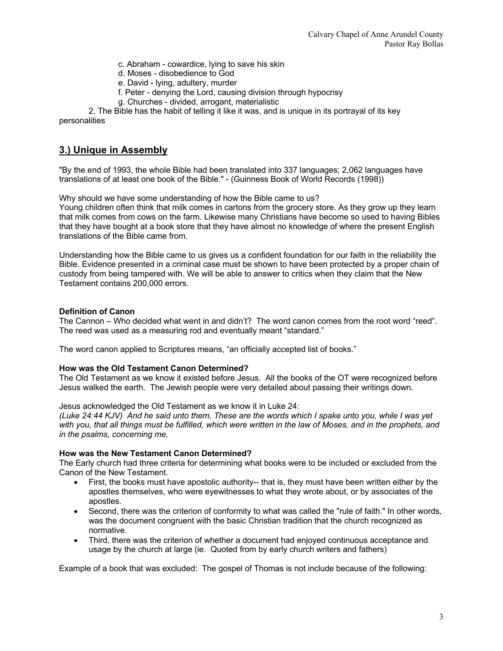- c. Abraham cowardice, lying to save his skin
- d. Moses disobedience to God
- e. David lying, adultery, murder
- f. Peter denying the Lord, causing division through hypocrisy
- g. Churches divided, arrogant, materialistic

2. The Bible has the habit of telling it like it was, and is unique in its portrayal of its key personalities

## **3.) Unique in Assembly**

"By the end of 1993, the whole Bible had been translated into 337 languages; 2,062 languages have translations of at least one book of the Bible." - (Guinness Book of World Records (1998))

Why should we have some understanding of how the Bible came to us?

Young children often think that milk comes in cartons from the grocery store. As they grow up they learn that milk comes from cows on the farm. Likewise many Christians have become so used to having Bibles that they have bought at a book store that they have almost no knowledge of where the present English translations of the Bible came from.

Understanding how the Bible came to us gives us a confident foundation for our faith in the reliability the Bible. Evidence presented in a criminal case must be shown to have been protected by a proper chain of custody from being tampered with. We will be able to answer to critics when they claim that the New Testament contains 200,000 errors.

#### **Definition of Canon**

The Cannon – Who decided what went in and didn't? The word canon comes from the root word "reed". The reed was used as a measuring rod and eventually meant "standard."

The word canon applied to Scriptures means, "an officially accepted list of books."

#### **How was the Old Testament Canon Determined?**

The Old Testament as we know it existed before Jesus. All the books of the OT were recognized before Jesus walked the earth. The Jewish people were very detailed about passing their writings down.

#### Jesus acknowledged the Old Testament as we know it in Luke 24:

*(Luke 24:44 KJV) And he said unto them, These are the words which I spake unto you, while I was yet*  with you, that all things must be fulfilled, which were written in the law of Moses, and in the prophets, and *in the psalms, concerning me.*

#### **How was the New Testament Canon Determined?**

The Early church had three criteria for determining what books were to be included or excluded from the Canon of the New Testament.

- First, the books must have apostolic authority-- that is, they must have been written either by the apostles themselves, who were eyewitnesses to what they wrote about, or by associates of the apostles.
- Second, there was the criterion of conformity to what was called the "rule of faith." In other words, was the document congruent with the basic Christian tradition that the church recognized as normative.
- Third, there was the criterion of whether a document had enjoyed continuous acceptance and usage by the church at large (ie. Quoted from by early church writers and fathers)

Example of a book that was excluded: The gospel of Thomas is not include because of the following: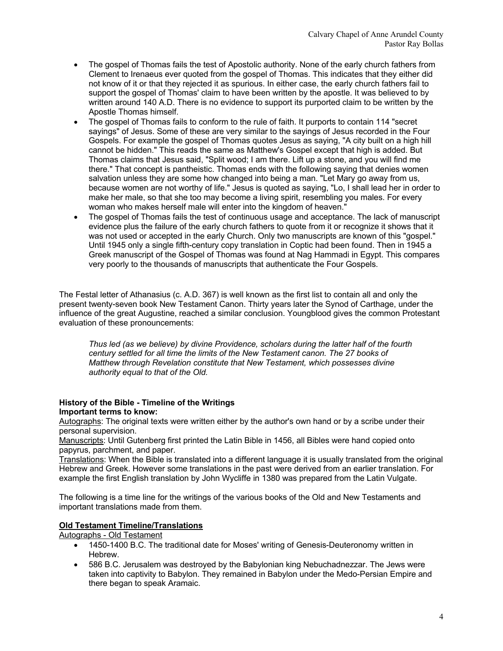- The gospel of Thomas fails the test of Apostolic authority. None of the early church fathers from Clement to Irenaeus ever quoted from the gospel of Thomas. This indicates that they either did not know of it or that they rejected it as spurious. In either case, the early church fathers fail to support the gospel of Thomas' claim to have been written by the apostle. It was believed to by written around 140 A.D. There is no evidence to support its purported claim to be written by the Apostle Thomas himself.
- The gospel of Thomas fails to conform to the rule of faith. It purports to contain 114 "secret sayings" of Jesus. Some of these are very similar to the sayings of Jesus recorded in the Four Gospels. For example the gospel of Thomas quotes Jesus as saying, "A city built on a high hill cannot be hidden." This reads the same as Matthew's Gospel except that high is added. But Thomas claims that Jesus said, "Split wood; I am there. Lift up a stone, and you will find me there." That concept is pantheistic. Thomas ends with the following saying that denies women salvation unless they are some how changed into being a man. "Let Mary go away from us, because women are not worthy of life." Jesus is quoted as saying, "Lo, I shall lead her in order to make her male, so that she too may become a living spirit, resembling you males. For every woman who makes herself male will enter into the kingdom of heaven."
- The gospel of Thomas fails the test of continuous usage and acceptance. The lack of manuscript evidence plus the failure of the early church fathers to quote from it or recognize it shows that it was not used or accepted in the early Church. Only two manuscripts are known of this "gospel." Until 1945 only a single fifth-century copy translation in Coptic had been found. Then in 1945 a Greek manuscript of the Gospel of Thomas was found at Nag Hammadi in Egypt. This compares very poorly to the thousands of manuscripts that authenticate the Four Gospels.

The Festal letter of Athanasius (c. A.D. 367) is well known as the first list to contain all and only the present twenty-seven book New Testament Canon. Thirty years later the Synod of Carthage, under the influence of the great Augustine, reached a similar conclusion. Youngblood gives the common Protestant evaluation of these pronouncements:

*Thus led (as we believe) by divine Providence, scholars during the latter half of the fourth century settled for all time the limits of the New Testament canon. The 27 books of Matthew through Revelation constitute that New Testament, which possesses divine authority equal to that of the Old.*

#### **History of the Bible - Timeline of the Writings Important terms to know:**

Autographs: The original texts were written either by the author's own hand or by a scribe under their personal supervision.

Manuscripts: Until Gutenberg first printed the Latin Bible in 1456, all Bibles were hand copied onto papyrus, parchment, and paper.

Translations: When the Bible is translated into a different language it is usually translated from the original Hebrew and Greek. However some translations in the past were derived from an earlier translation. For example the first English translation by John Wycliffe in 1380 was prepared from the Latin Vulgate.

The following is a time line for the writings of the various books of the Old and New Testaments and important translations made from them.

## **Old Testament Timeline/Translations**

Autographs - Old Testament

- 1450-1400 B.C. The traditional date for Moses' writing of Genesis-Deuteronomy written in Hebrew.
- 586 B.C. Jerusalem was destroyed by the Babylonian king Nebuchadnezzar. The Jews were taken into captivity to Babylon. They remained in Babylon under the Medo-Persian Empire and there began to speak Aramaic.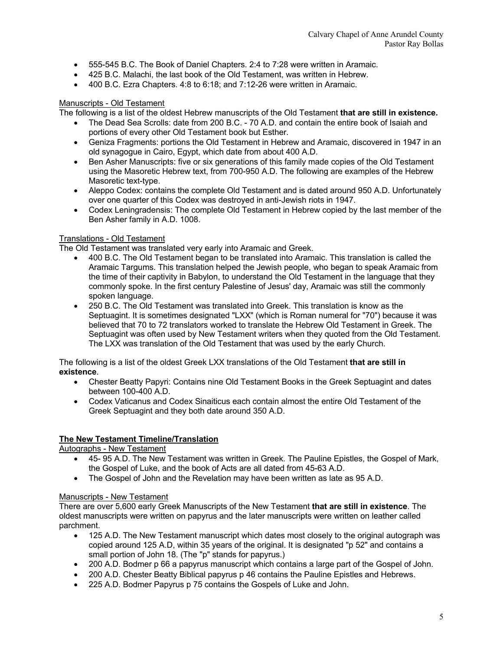- 555-545 B.C. The Book of Daniel Chapters. 2:4 to 7:28 were written in Aramaic.
- 425 B.C. Malachi, the last book of the Old Testament, was written in Hebrew.
- 400 B.C. Ezra Chapters. 4:8 to 6:18; and 7:12-26 were written in Aramaic.

#### Manuscripts - Old Testament

The following is a list of the oldest Hebrew manuscripts of the Old Testament **that are still in existence.**

- The Dead Sea Scrolls: date from 200 B.C. 70 A.D. and contain the entire book of Isaiah and portions of every other Old Testament book but Esther.
- Geniza Fragments: portions the Old Testament in Hebrew and Aramaic, discovered in 1947 in an old synagogue in Cairo, Egypt, which date from about 400 A.D.
- Ben Asher Manuscripts: five or six generations of this family made copies of the Old Testament using the Masoretic Hebrew text, from 700-950 A.D. The following are examples of the Hebrew Masoretic text-type.
- Aleppo Codex: contains the complete Old Testament and is dated around 950 A.D. Unfortunately over one quarter of this Codex was destroyed in anti-Jewish riots in 1947.
- Codex Leningradensis: The complete Old Testament in Hebrew copied by the last member of the Ben Asher family in A.D. 1008.

#### Translations - Old Testament

The Old Testament was translated very early into Aramaic and Greek.

- 400 B.C. The Old Testament began to be translated into Aramaic. This translation is called the Aramaic Targums. This translation helped the Jewish people, who began to speak Aramaic from the time of their captivity in Babylon, to understand the Old Testament in the language that they commonly spoke. In the first century Palestine of Jesus' day, Aramaic was still the commonly spoken language.
- 250 B.C. The Old Testament was translated into Greek. This translation is know as the Septuagint. It is sometimes designated "LXX" (which is Roman numeral for "70") because it was believed that 70 to 72 translators worked to translate the Hebrew Old Testament in Greek. The Septuagint was often used by New Testament writers when they quoted from the Old Testament. The LXX was translation of the Old Testament that was used by the early Church.

The following is a list of the oldest Greek LXX translations of the Old Testament **that are still in existence**.

- Chester Beatty Papyri: Contains nine Old Testament Books in the Greek Septuagint and dates between 100-400 A.D.
- Codex Vaticanus and Codex Sinaiticus each contain almost the entire Old Testament of the Greek Septuagint and they both date around 350 A.D.

#### **The New Testament Timeline/Translation**

Autographs - New Testament

- 45- 95 A.D. The New Testament was written in Greek. The Pauline Epistles, the Gospel of Mark, the Gospel of Luke, and the book of Acts are all dated from 45-63 A.D.
- The Gospel of John and the Revelation may have been written as late as 95 A.D.

#### Manuscripts - New Testament

There are over 5,600 early Greek Manuscripts of the New Testament **that are still in existence**. The oldest manuscripts were written on papyrus and the later manuscripts were written on leather called parchment.

- 125 A.D. The New Testament manuscript which dates most closely to the original autograph was copied around 125 A.D, within 35 years of the original. It is designated "p 52" and contains a small portion of John 18. (The "p" stands for papyrus.)
- 200 A.D. Bodmer p 66 a papyrus manuscript which contains a large part of the Gospel of John.
- 200 A.D. Chester Beatty Biblical papyrus p 46 contains the Pauline Epistles and Hebrews.
- 225 A.D. Bodmer Papyrus p 75 contains the Gospels of Luke and John.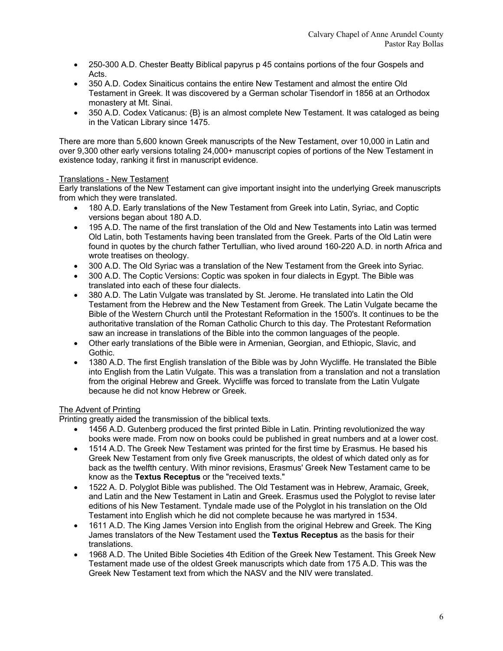- 250-300 A.D. Chester Beatty Biblical papyrus p 45 contains portions of the four Gospels and Acts.
- 350 A.D. Codex Sinaiticus contains the entire New Testament and almost the entire Old Testament in Greek. It was discovered by a German scholar Tisendorf in 1856 at an Orthodox monastery at Mt. Sinai.
- 350 A.D. Codex Vaticanus: {B} is an almost complete New Testament. It was cataloged as being in the Vatican Library since 1475.

There are more than 5,600 known Greek manuscripts of the New Testament, over 10,000 in Latin and over 9,300 other early versions totaling 24,000+ manuscript copies of portions of the New Testament in existence today, ranking it first in manuscript evidence.

#### Translations - New Testament

Early translations of the New Testament can give important insight into the underlying Greek manuscripts from which they were translated.

- 180 A.D. Early translations of the New Testament from Greek into Latin, Syriac, and Coptic versions began about 180 A.D.
- 195 A.D. The name of the first translation of the Old and New Testaments into Latin was termed Old Latin, both Testaments having been translated from the Greek. Parts of the Old Latin were found in quotes by the church father Tertullian, who lived around 160-220 A.D. in north Africa and wrote treatises on theology.
- 300 A.D. The Old Syriac was a translation of the New Testament from the Greek into Syriac.
- 300 A.D. The Coptic Versions: Coptic was spoken in four dialects in Egypt. The Bible was translated into each of these four dialects.
- 380 A.D. The Latin Vulgate was translated by St. Jerome. He translated into Latin the Old Testament from the Hebrew and the New Testament from Greek. The Latin Vulgate became the Bible of the Western Church until the Protestant Reformation in the 1500's. It continues to be the authoritative translation of the Roman Catholic Church to this day. The Protestant Reformation saw an increase in translations of the Bible into the common languages of the people.
- Other early translations of the Bible were in Armenian, Georgian, and Ethiopic, Slavic, and Gothic.
- 1380 A.D. The first English translation of the Bible was by John Wycliffe. He translated the Bible into English from the Latin Vulgate. This was a translation from a translation and not a translation from the original Hebrew and Greek. Wycliffe was forced to translate from the Latin Vulgate because he did not know Hebrew or Greek.

## The Advent of Printing

Printing greatly aided the transmission of the biblical texts.

- 1456 A.D. Gutenberg produced the first printed Bible in Latin. Printing revolutionized the way books were made. From now on books could be published in great numbers and at a lower cost.
- 1514 A.D. The Greek New Testament was printed for the first time by Erasmus. He based his Greek New Testament from only five Greek manuscripts, the oldest of which dated only as for back as the twelfth century. With minor revisions, Erasmus' Greek New Testament came to be know as the **Textus Receptus** or the "received texts."
- 1522 A. D. Polyglot Bible was published. The Old Testament was in Hebrew, Aramaic, Greek, and Latin and the New Testament in Latin and Greek. Erasmus used the Polyglot to revise later editions of his New Testament. Tyndale made use of the Polyglot in his translation on the Old Testament into English which he did not complete because he was martyred in 1534.
- 1611 A.D. The King James Version into English from the original Hebrew and Greek. The King James translators of the New Testament used the **Textus Receptus** as the basis for their translations.
- 1968 A.D. The United Bible Societies 4th Edition of the Greek New Testament. This Greek New Testament made use of the oldest Greek manuscripts which date from 175 A.D. This was the Greek New Testament text from which the NASV and the NIV were translated.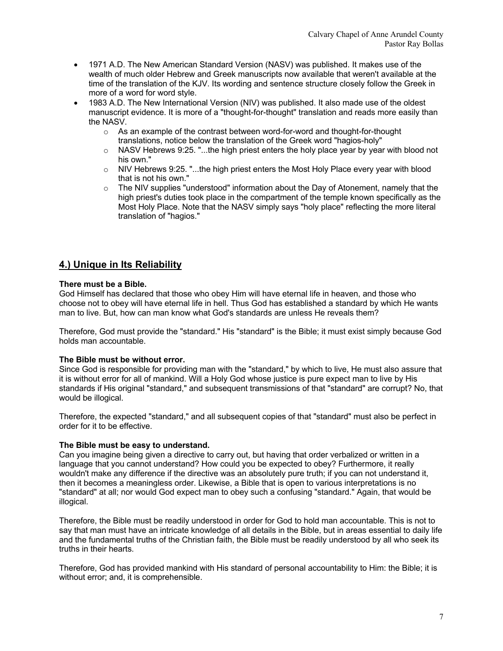- 1971 A.D. The New American Standard Version (NASV) was published. It makes use of the wealth of much older Hebrew and Greek manuscripts now available that weren't available at the time of the translation of the KJV. Its wording and sentence structure closely follow the Greek in more of a word for word style.
- 1983 A.D. The New International Version (NIV) was published. It also made use of the oldest manuscript evidence. It is more of a "thought-for-thought" translation and reads more easily than the NASV.
	- o As an example of the contrast between word-for-word and thought-for-thought translations, notice below the translation of the Greek word "hagios-holy"
	- $\circ$  NASV Hebrews 9:25. "...the high priest enters the holy place year by year with blood not his own."
	- o NIV Hebrews 9:25. "...the high priest enters the Most Holy Place every year with blood that is not his own."
	- $\circ$  The NIV supplies "understood" information about the Day of Atonement, namely that the high priest's duties took place in the compartment of the temple known specifically as the Most Holy Place. Note that the NASV simply says "holy place" reflecting the more literal translation of "hagios."

## **4.) Unique in Its Reliability**

#### **There must be a Bible.**

God Himself has declared that those who obey Him will have eternal life in heaven, and those who choose not to obey will have eternal life in hell. Thus God has established a standard by which He wants man to live. But, how can man know what God's standards are unless He reveals them?

Therefore, God must provide the "standard." His "standard" is the Bible; it must exist simply because God holds man accountable.

#### **The Bible must be without error.**

Since God is responsible for providing man with the "standard," by which to live, He must also assure that it is without error for all of mankind. Will a Holy God whose justice is pure expect man to live by His standards if His original "standard," and subsequent transmissions of that "standard" are corrupt? No, that would be illogical.

Therefore, the expected "standard," and all subsequent copies of that "standard" must also be perfect in order for it to be effective.

#### **The Bible must be easy to understand.**

Can you imagine being given a directive to carry out, but having that order verbalized or written in a language that you cannot understand? How could you be expected to obey? Furthermore, it really wouldn't make any difference if the directive was an absolutely pure truth; if you can not understand it, then it becomes a meaningless order. Likewise, a Bible that is open to various interpretations is no "standard" at all; nor would God expect man to obey such a confusing "standard." Again, that would be illogical.

Therefore, the Bible must be readily understood in order for God to hold man accountable. This is not to say that man must have an intricate knowledge of all details in the Bible, but in areas essential to daily life and the fundamental truths of the Christian faith, the Bible must be readily understood by all who seek its truths in their hearts.

Therefore, God has provided mankind with His standard of personal accountability to Him: the Bible; it is without error; and, it is comprehensible.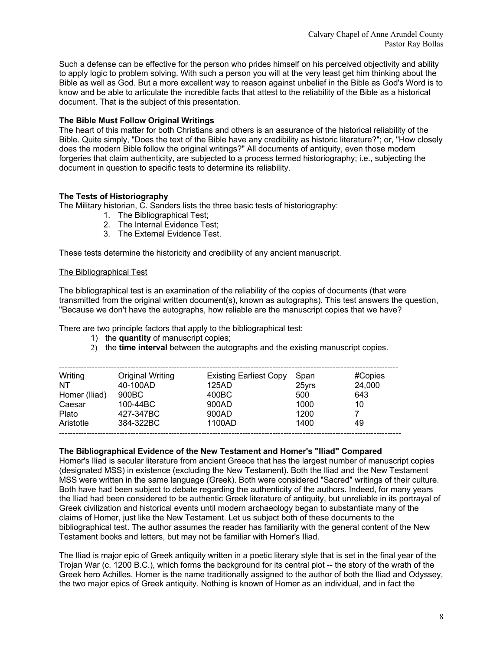Such a defense can be effective for the person who prides himself on his perceived objectivity and ability to apply logic to problem solving. With such a person you will at the very least get him thinking about the Bible as well as God. But a more excellent way to reason against unbelief in the Bible as God's Word is to know and be able to articulate the incredible facts that attest to the reliability of the Bible as a historical document. That is the subject of this presentation.

#### **The Bible Must Follow Original Writings**

The heart of this matter for both Christians and others is an assurance of the historical reliability of the Bible. Quite simply, "Does the text of the Bible have any credibility as historic literature?"; or, "How closely does the modern Bible follow the original writings?" All documents of antiquity, even those modern forgeries that claim authenticity, are subjected to a process termed historiography; i.e., subjecting the document in question to specific tests to determine its reliability.

#### **The Tests of Historiography**

The Military historian, C. Sanders lists the three basic tests of historiography:

- 1. The Bibliographical Test;
- 2. The Internal Evidence Test;
- 3. The External Evidence Test.

These tests determine the historicity and credibility of any ancient manuscript.

#### The Bibliographical Test

The bibliographical test is an examination of the reliability of the copies of documents (that were transmitted from the original written document(s), known as autographs). This test answers the question, "Because we don't have the autographs, how reliable are the manuscript copies that we have?

There are two principle factors that apply to the bibliographical test:

- 1) the **quantity** of manuscript copies;
- 2) the **time interval** between the autographs and the existing manuscript copies.

| <b>Writing</b> | <b>Original Writing</b> | <b>Existing Earliest Copy</b> | <b>Span</b> | #Copies |
|----------------|-------------------------|-------------------------------|-------------|---------|
| NT             | 40-100AD                | 125AD                         | 25yrs       | 24,000  |
| Homer (Iliad)  | 900BC                   | 400BC                         | 500         | 643     |
| Caesar         | $100 - 44$ BC           | 900AD                         | 1000        | 10      |
| Plato          | 427-347BC               | 900AD                         | 1200        |         |
| Aristotle      | 384-322BC               | 1100AD                        | 1400        | 49      |

#### **The Bibliographical Evidence of the New Testament and Homer's "Iliad" Compared**

Homer's Iliad is secular literature from ancient Greece that has the largest number of manuscript copies (designated MSS) in existence (excluding the New Testament). Both the Iliad and the New Testament MSS were written in the same language (Greek). Both were considered "Sacred" writings of their culture. Both have had been subject to debate regarding the authenticity of the authors. Indeed, for many years the Iliad had been considered to be authentic Greek literature of antiquity, but unreliable in its portrayal of Greek civilization and historical events until modern archaeology began to substantiate many of the claims of Homer, just like the New Testament. Let us subject both of these documents to the bibliographical test. The author assumes the reader has familiarity with the general content of the New Testament books and letters, but may not be familiar with Homer's Iliad.

The Iliad is major epic of Greek antiquity written in a poetic literary style that is set in the final year of the Trojan War (c. 1200 B.C.), which forms the background for its central plot -- the story of the wrath of the Greek hero Achilles. Homer is the name traditionally assigned to the author of both the Iliad and Odyssey, the two major epics of Greek antiquity. Nothing is known of Homer as an individual, and in fact the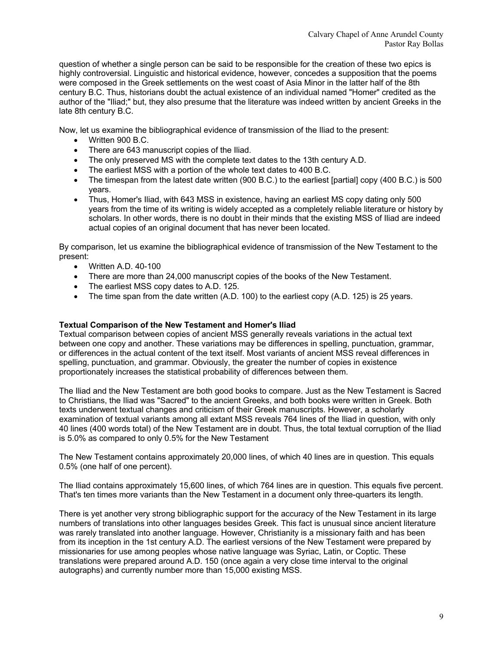question of whether a single person can be said to be responsible for the creation of these two epics is highly controversial. Linguistic and historical evidence, however, concedes a supposition that the poems were composed in the Greek settlements on the west coast of Asia Minor in the latter half of the 8th century B.C. Thus, historians doubt the actual existence of an individual named "Homer" credited as the author of the "Iliad;" but, they also presume that the literature was indeed written by ancient Greeks in the late 8th century B.C.

Now, let us examine the bibliographical evidence of transmission of the Iliad to the present:

- Written 900 B.C.
- There are 643 manuscript copies of the Iliad.
- The only preserved MS with the complete text dates to the 13th century A.D.
- The earliest MSS with a portion of the whole text dates to 400 B.C.
- The timespan from the latest date written (900 B.C.) to the earliest [partial] copy (400 B.C.) is 500 years.
- Thus, Homer's Iliad, with 643 MSS in existence, having an earliest MS copy dating only 500 years from the time of its writing is widely accepted as a completely reliable literature or history by scholars. In other words, there is no doubt in their minds that the existing MSS of Iliad are indeed actual copies of an original document that has never been located.

By comparison, let us examine the bibliographical evidence of transmission of the New Testament to the present:

- Written A.D. 40-100
- There are more than 24,000 manuscript copies of the books of the New Testament.
- The earliest MSS copy dates to A.D. 125.
- The time span from the date written  $(A.D. 100)$  to the earliest copy  $(A.D. 125)$  is 25 years.

#### **Textual Comparison of the New Testament and Homer's Iliad**

Textual comparison between copies of ancient MSS generally reveals variations in the actual text between one copy and another. These variations may be differences in spelling, punctuation, grammar, or differences in the actual content of the text itself. Most variants of ancient MSS reveal differences in spelling, punctuation, and grammar. Obviously, the greater the number of copies in existence proportionately increases the statistical probability of differences between them.

The Iliad and the New Testament are both good books to compare. Just as the New Testament is Sacred to Christians, the Iliad was "Sacred" to the ancient Greeks, and both books were written in Greek. Both texts underwent textual changes and criticism of their Greek manuscripts. However, a scholarly examination of textual variants among all extant MSS reveals 764 lines of the Iliad in question, with only 40 lines (400 words total) of the New Testament are in doubt. Thus, the total textual corruption of the Iliad is 5.0% as compared to only 0.5% for the New Testament

The New Testament contains approximately 20,000 lines, of which 40 lines are in question. This equals 0.5% (one half of one percent).

The Iliad contains approximately 15,600 lines, of which 764 lines are in question. This equals five percent. That's ten times more variants than the New Testament in a document only three-quarters its length.

There is yet another very strong bibliographic support for the accuracy of the New Testament in its large numbers of translations into other languages besides Greek. This fact is unusual since ancient literature was rarely translated into another language. However, Christianity is a missionary faith and has been from its inception in the 1st century A.D. The earliest versions of the New Testament were prepared by missionaries for use among peoples whose native language was Syriac, Latin, or Coptic. These translations were prepared around A.D. 150 (once again a very close time interval to the original autographs) and currently number more than 15,000 existing MSS.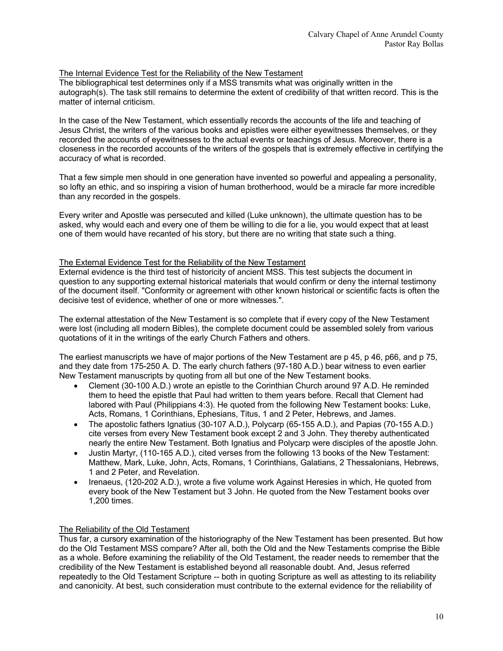#### The Internal Evidence Test for the Reliability of the New Testament

The bibliographical test determines only if a MSS transmits what was originally written in the autograph(s). The task still remains to determine the extent of credibility of that written record. This is the matter of internal criticism.

In the case of the New Testament, which essentially records the accounts of the life and teaching of Jesus Christ, the writers of the various books and epistles were either eyewitnesses themselves, or they recorded the accounts of eyewitnesses to the actual events or teachings of Jesus. Moreover, there is a closeness in the recorded accounts of the writers of the gospels that is extremely effective in certifying the accuracy of what is recorded.

That a few simple men should in one generation have invented so powerful and appealing a personality, so lofty an ethic, and so inspiring a vision of human brotherhood, would be a miracle far more incredible than any recorded in the gospels.

Every writer and Apostle was persecuted and killed (Luke unknown), the ultimate question has to be asked, why would each and every one of them be willing to die for a lie, you would expect that at least one of them would have recanted of his story, but there are no writing that state such a thing.

#### The External Evidence Test for the Reliability of the New Testament

External evidence is the third test of historicity of ancient MSS. This test subjects the document in question to any supporting external historical materials that would confirm or deny the internal testimony of the document itself. "Conformity or agreement with other known historical or scientific facts is often the decisive test of evidence, whether of one or more witnesses.".

The external attestation of the New Testament is so complete that if every copy of the New Testament were lost (including all modern Bibles), the complete document could be assembled solely from various quotations of it in the writings of the early Church Fathers and others.

The earliest manuscripts we have of major portions of the New Testament are p 45, p 46, p66, and p 75, and they date from 175-250 A. D. The early church fathers (97-180 A.D.) bear witness to even earlier New Testament manuscripts by quoting from all but one of the New Testament books.

- Clement (30-100 A.D.) wrote an epistle to the Corinthian Church around 97 A.D. He reminded them to heed the epistle that Paul had written to them years before. Recall that Clement had labored with Paul (Philippians 4:3). He quoted from the following New Testament books: Luke, Acts, Romans, 1 Corinthians, Ephesians, Titus, 1 and 2 Peter, Hebrews, and James.
- The apostolic fathers Ignatius (30-107 A.D.), Polycarp (65-155 A.D.), and Papias (70-155 A.D.) cite verses from every New Testament book except 2 and 3 John. They thereby authenticated nearly the entire New Testament. Both Ignatius and Polycarp were disciples of the apostle John.
- Justin Martyr, (110-165 A.D.), cited verses from the following 13 books of the New Testament: Matthew, Mark, Luke, John, Acts, Romans, 1 Corinthians, Galatians, 2 Thessalonians, Hebrews, 1 and 2 Peter, and Revelation.
- Irenaeus, (120-202 A.D.), wrote a five volume work Against Heresies in which, He quoted from every book of the New Testament but 3 John. He quoted from the New Testament books over 1,200 times.

### The Reliability of the Old Testament

Thus far, a cursory examination of the historiography of the New Testament has been presented. But how do the Old Testament MSS compare? After all, both the Old and the New Testaments comprise the Bible as a whole. Before examining the reliability of the Old Testament, the reader needs to remember that the credibility of the New Testament is established beyond all reasonable doubt. And, Jesus referred repeatedly to the Old Testament Scripture -- both in quoting Scripture as well as attesting to its reliability and canonicity. At best, such consideration must contribute to the external evidence for the reliability of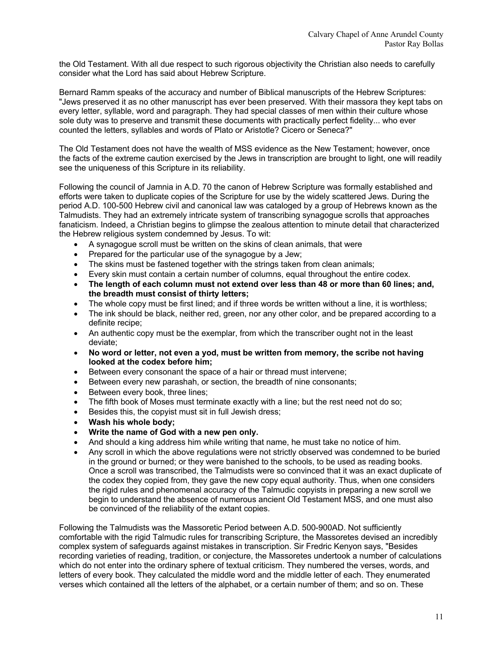the Old Testament. With all due respect to such rigorous objectivity the Christian also needs to carefully consider what the Lord has said about Hebrew Scripture.

Bernard Ramm speaks of the accuracy and number of Biblical manuscripts of the Hebrew Scriptures: "Jews preserved it as no other manuscript has ever been preserved. With their massora they kept tabs on every letter, syllable, word and paragraph. They had special classes of men within their culture whose sole duty was to preserve and transmit these documents with practically perfect fidelity... who ever counted the letters, syllables and words of Plato or Aristotle? Cicero or Seneca?"

The Old Testament does not have the wealth of MSS evidence as the New Testament; however, once the facts of the extreme caution exercised by the Jews in transcription are brought to light, one will readily see the uniqueness of this Scripture in its reliability.

Following the council of Jamnia in A.D. 70 the canon of Hebrew Scripture was formally established and efforts were taken to duplicate copies of the Scripture for use by the widely scattered Jews. During the period A.D. 100-500 Hebrew civil and canonical law was cataloged by a group of Hebrews known as the Talmudists. They had an extremely intricate system of transcribing synagogue scrolls that approaches fanaticism. Indeed, a Christian begins to glimpse the zealous attention to minute detail that characterized the Hebrew religious system condemned by Jesus. To wit:

- A synagogue scroll must be written on the skins of clean animals, that were
- Prepared for the particular use of the synagogue by a Jew;
- The skins must be fastened together with the strings taken from clean animals;
- Every skin must contain a certain number of columns, equal throughout the entire codex.
- **The length of each column must not extend over less than 48 or more than 60 lines; and, the breadth must consist of thirty letters;**
- The whole copy must be first lined; and if three words be written without a line, it is worthless;
- The ink should be black, neither red, green, nor any other color, and be prepared according to a definite recipe;
- An authentic copy must be the exemplar, from which the transcriber ought not in the least deviate;
- **No word or letter, not even a yod, must be written from memory, the scribe not having looked at the codex before him;**
- Between every consonant the space of a hair or thread must intervene;
- Between every new parashah, or section, the breadth of nine consonants;
- Between every book, three lines;
- The fifth book of Moses must terminate exactly with a line; but the rest need not do so;
- Besides this, the copyist must sit in full Jewish dress;
- **Wash his whole body;**
- **Write the name of God with a new pen only.**
- And should a king address him while writing that name, he must take no notice of him.
- Any scroll in which the above regulations were not strictly observed was condemned to be buried in the ground or burned; or they were banished to the schools, to be used as reading books. Once a scroll was transcribed, the Talmudists were so convinced that it was an exact duplicate of the codex they copied from, they gave the new copy equal authority. Thus, when one considers the rigid rules and phenomenal accuracy of the Talmudic copyists in preparing a new scroll we begin to understand the absence of numerous ancient Old Testament MSS, and one must also be convinced of the reliability of the extant copies.

Following the Talmudists was the Massoretic Period between A.D. 500-900AD. Not sufficiently comfortable with the rigid Talmudic rules for transcribing Scripture, the Massoretes devised an incredibly complex system of safeguards against mistakes in transcription. Sir Fredric Kenyon says, "Besides recording varieties of reading, tradition, or conjecture, the Massoretes undertook a number of calculations which do not enter into the ordinary sphere of textual criticism. They numbered the verses, words, and letters of every book. They calculated the middle word and the middle letter of each. They enumerated verses which contained all the letters of the alphabet, or a certain number of them; and so on. These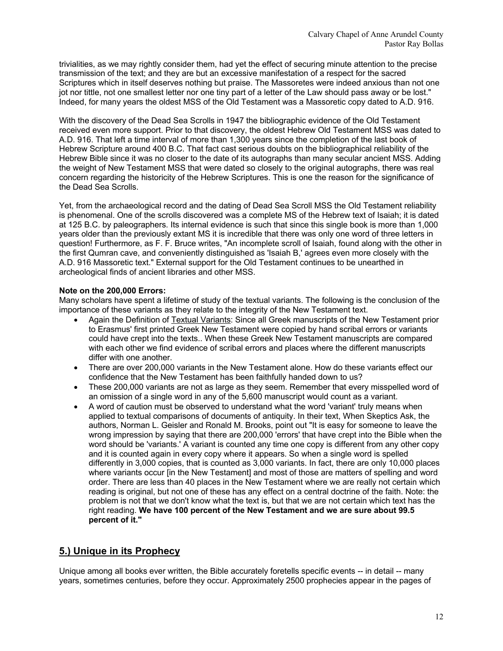trivialities, as we may rightly consider them, had yet the effect of securing minute attention to the precise transmission of the text; and they are but an excessive manifestation of a respect for the sacred Scriptures which in itself deserves nothing but praise. The Massoretes were indeed anxious than not one jot nor tittle, not one smallest letter nor one tiny part of a letter of the Law should pass away or be lost." Indeed, for many years the oldest MSS of the Old Testament was a Massoretic copy dated to A.D. 916.

With the discovery of the Dead Sea Scrolls in 1947 the bibliographic evidence of the Old Testament received even more support. Prior to that discovery, the oldest Hebrew Old Testament MSS was dated to A.D. 916. That left a time interval of more than 1,300 years since the completion of the last book of Hebrew Scripture around 400 B.C. That fact cast serious doubts on the bibliographical reliability of the Hebrew Bible since it was no closer to the date of its autographs than many secular ancient MSS. Adding the weight of New Testament MSS that were dated so closely to the original autographs, there was real concern regarding the historicity of the Hebrew Scriptures. This is one the reason for the significance of the Dead Sea Scrolls.

Yet, from the archaeological record and the dating of Dead Sea Scroll MSS the Old Testament reliability is phenomenal. One of the scrolls discovered was a complete MS of the Hebrew text of Isaiah; it is dated at 125 B.C. by paleographers. Its internal evidence is such that since this single book is more than 1,000 years older than the previously extant MS it is incredible that there was only one word of three letters in question! Furthermore, as F. F. Bruce writes, "An incomplete scroll of Isaiah, found along with the other in the first Qumran cave, and conveniently distinguished as 'Isaiah B,' agrees even more closely with the A.D. 916 Massoretic text." External support for the Old Testament continues to be unearthed in archeological finds of ancient libraries and other MSS.

#### **Note on the 200,000 Errors:**

Many scholars have spent a lifetime of study of the textual variants. The following is the conclusion of the importance of these variants as they relate to the integrity of the New Testament text.

- Again the Definition of Textual Variants: Since all Greek manuscripts of the New Testament prior to Erasmus' first printed Greek New Testament were copied by hand scribal errors or variants could have crept into the texts.. When these Greek New Testament manuscripts are compared with each other we find evidence of scribal errors and places where the different manuscripts differ with one another.
- There are over 200,000 variants in the New Testament alone. How do these variants effect our confidence that the New Testament has been faithfully handed down to us?
- These 200,000 variants are not as large as they seem. Remember that every misspelled word of an omission of a single word in any of the 5,600 manuscript would count as a variant.
- A word of caution must be observed to understand what the word 'variant' truly means when applied to textual comparisons of documents of antiquity. In their text, When Skeptics Ask, the authors, Norman L. Geisler and Ronald M. Brooks, point out "It is easy for someone to leave the wrong impression by saying that there are 200,000 'errors' that have crept into the Bible when the word should be 'variants.' A variant is counted any time one copy is different from any other copy and it is counted again in every copy where it appears. So when a single word is spelled differently in 3,000 copies, that is counted as 3,000 variants. In fact, there are only 10,000 places where variants occur [in the New Testament] and most of those are matters of spelling and word order. There are less than 40 places in the New Testament where we are really not certain which reading is original, but not one of these has any effect on a central doctrine of the faith. Note: the problem is not that we don't know what the text is, but that we are not certain which text has the right reading. **We have 100 percent of the New Testament and we are sure about 99.5 percent of it."**

## **5.) Unique in its Prophecy**

Unique among all books ever written, the Bible accurately foretells specific events -- in detail -- many years, sometimes centuries, before they occur. Approximately 2500 prophecies appear in the pages of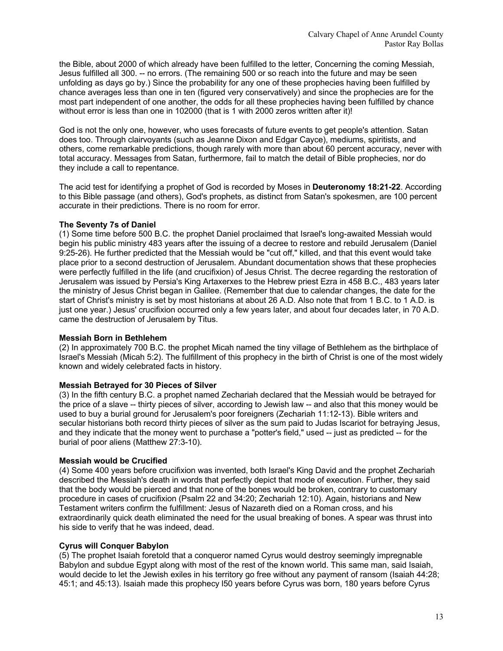the Bible, about 2000 of which already have been fulfilled to the letter, Concerning the coming Messiah, Jesus fulfilled all 300. -- no errors. (The remaining 500 or so reach into the future and may be seen unfolding as days go by.) Since the probability for any one of these prophecies having been fulfilled by chance averages less than one in ten (figured very conservatively) and since the prophecies are for the most part independent of one another, the odds for all these prophecies having been fulfilled by chance without error is less than one in 102000 (that is 1 with 2000 zeros written after it)!

God is not the only one, however, who uses forecasts of future events to get people's attention. Satan does too. Through clairvoyants (such as Jeanne Dixon and Edgar Cayce), mediums, spiritists, and others, come remarkable predictions, though rarely with more than about 60 percent accuracy, never with total accuracy. Messages from Satan, furthermore, fail to match the detail of Bible prophecies, nor do they include a call to repentance.

The acid test for identifying a prophet of God is recorded by Moses in **Deuteronomy 18:21-22**. According to this Bible passage (and others), God's prophets, as distinct from Satan's spokesmen, are 100 percent accurate in their predictions. There is no room for error.

#### **The Seventy 7s of Daniel**

(1) Some time before 500 B.C. the prophet Daniel proclaimed that Israel's long-awaited Messiah would begin his public ministry 483 years after the issuing of a decree to restore and rebuild Jerusalem (Daniel 9:25-26). He further predicted that the Messiah would be "cut off," killed, and that this event would take place prior to a second destruction of Jerusalem. Abundant documentation shows that these prophecies were perfectly fulfilled in the life (and crucifixion) of Jesus Christ. The decree regarding the restoration of Jerusalem was issued by Persia's King Artaxerxes to the Hebrew priest Ezra in 458 B.C., 483 years later the ministry of Jesus Christ began in Galilee. (Remember that due to calendar changes, the date for the start of Christ's ministry is set by most historians at about 26 A.D. Also note that from 1 B.C. to 1 A.D. is just one year.) Jesus' crucifixion occurred only a few years later, and about four decades later, in 70 A.D. came the destruction of Jerusalem by Titus.

#### **Messiah Born in Bethlehem**

(2) In approximately 700 B.C. the prophet Micah named the tiny village of Bethlehem as the birthplace of Israel's Messiah (Micah 5:2). The fulfillment of this prophecy in the birth of Christ is one of the most widely known and widely celebrated facts in history.

#### **Messiah Betrayed for 30 Pieces of Silver**

(3) In the fifth century B.C. a prophet named Zechariah declared that the Messiah would be betrayed for the price of a slave -- thirty pieces of silver, according to Jewish law -- and also that this money would be used to buy a burial ground for Jerusalem's poor foreigners (Zechariah 11:12-13). Bible writers and secular historians both record thirty pieces of silver as the sum paid to Judas Iscariot for betraying Jesus, and they indicate that the money went to purchase a "potter's field," used -- just as predicted -- for the burial of poor aliens (Matthew 27:3-10).

#### **Messiah would be Crucified**

(4) Some 400 years before crucifixion was invented, both Israel's King David and the prophet Zechariah described the Messiah's death in words that perfectly depict that mode of execution. Further, they said that the body would be pierced and that none of the bones would be broken, contrary to customary procedure in cases of crucifixion (Psalm 22 and 34:20; Zechariah 12:10). Again, historians and New Testament writers confirm the fulfillment: Jesus of Nazareth died on a Roman cross, and his extraordinarily quick death eliminated the need for the usual breaking of bones. A spear was thrust into his side to verify that he was indeed, dead.

#### **Cyrus will Conquer Babylon**

(5) The prophet Isaiah foretold that a conqueror named Cyrus would destroy seemingly impregnable Babylon and subdue Egypt along with most of the rest of the known world. This same man, said Isaiah, would decide to let the Jewish exiles in his territory go free without any payment of ransom (Isaiah 44:28; 45:1; and 45:13). Isaiah made this prophecy l50 years before Cyrus was born, 180 years before Cyrus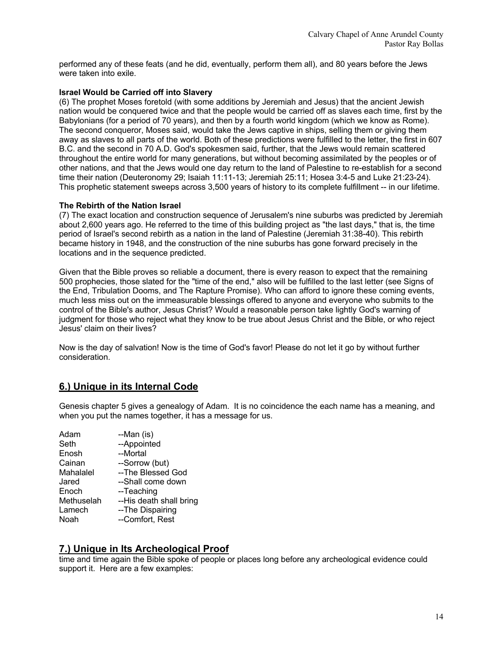performed any of these feats (and he did, eventually, perform them all), and 80 years before the Jews were taken into exile.

#### **Israel Would be Carried off into Slavery**

(6) The prophet Moses foretold (with some additions by Jeremiah and Jesus) that the ancient Jewish nation would be conquered twice and that the people would be carried off as slaves each time, first by the Babylonians (for a period of 70 years), and then by a fourth world kingdom (which we know as Rome). The second conqueror, Moses said, would take the Jews captive in ships, selling them or giving them away as slaves to all parts of the world. Both of these predictions were fulfilled to the letter, the first in 607 B.C. and the second in 70 A.D. God's spokesmen said, further, that the Jews would remain scattered throughout the entire world for many generations, but without becoming assimilated by the peoples or of other nations, and that the Jews would one day return to the land of Palestine to re-establish for a second time their nation (Deuteronomy 29; Isaiah 11:11-13; Jeremiah 25:11; Hosea 3:4-5 and Luke 21:23-24). This prophetic statement sweeps across 3,500 years of history to its complete fulfillment -- in our lifetime.

#### **The Rebirth of the Nation Israel**

(7) The exact location and construction sequence of Jerusalem's nine suburbs was predicted by Jeremiah about 2,600 years ago. He referred to the time of this building project as "the last days," that is, the time period of Israel's second rebirth as a nation in the land of Palestine (Jeremiah 31:38-40). This rebirth became history in 1948, and the construction of the nine suburbs has gone forward precisely in the locations and in the sequence predicted.

Given that the Bible proves so reliable a document, there is every reason to expect that the remaining 500 prophecies, those slated for the "time of the end," also will be fulfilled to the last letter (see Signs of the End, Tribulation Dooms, and The Rapture Promise). Who can afford to ignore these coming events, much less miss out on the immeasurable blessings offered to anyone and everyone who submits to the control of the Bible's author, Jesus Christ? Would a reasonable person take lightly God's warning of judgment for those who reject what they know to be true about Jesus Christ and the Bible, or who reject Jesus' claim on their lives?

Now is the day of salvation! Now is the time of God's favor! Please do not let it go by without further consideration.

## **6.) Unique in its Internal Code**

Genesis chapter 5 gives a genealogy of Adam. It is no coincidence the each name has a meaning, and when you put the names together, it has a message for us.

| Adam       | --Man (is)              |
|------------|-------------------------|
| Seth       | --Appointed             |
| Enosh      | --Mortal                |
| Cainan     | --Sorrow (but)          |
| Mahalalel  | --The Blessed God       |
| Jared      | --Shall come down       |
| Enoch      | --Teaching              |
| Methuselah | --His death shall bring |
| Lamech     | --The Dispairing        |
| Noah       | --Comfort, Rest         |

## **7.) Unique in Its Archeological Proof**

time and time again the Bible spoke of people or places long before any archeological evidence could support it. Here are a few examples: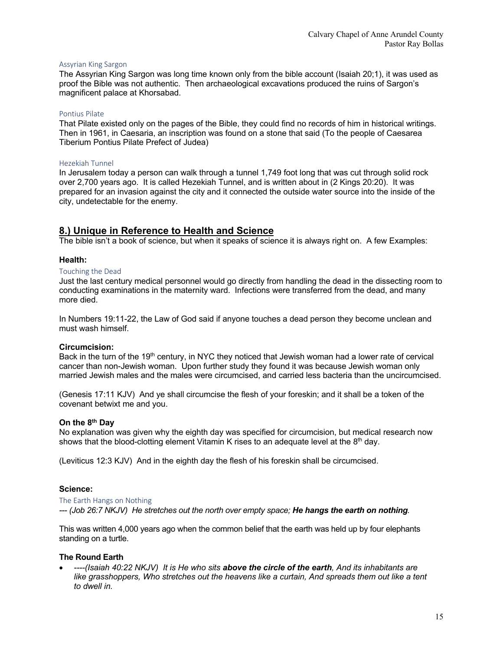#### Assyrian King Sargon

The Assyrian King Sargon was long time known only from the bible account (Isaiah 20;1), it was used as proof the Bible was not authentic. Then archaeological excavations produced the ruins of Sargon's magnificent palace at Khorsabad.

#### Pontius Pilate

That Pilate existed only on the pages of the Bible, they could find no records of him in historical writings. Then in 1961, in Caesaria, an inscription was found on a stone that said (To the people of Caesarea Tiberium Pontius Pilate Prefect of Judea)

#### Hezekiah Tunnel

In Jerusalem today a person can walk through a tunnel 1,749 foot long that was cut through solid rock over 2,700 years ago. It is called Hezekiah Tunnel, and is written about in (2 Kings 20:20). It was prepared for an invasion against the city and it connected the outside water source into the inside of the city, undetectable for the enemy.

#### **8.) Unique in Reference to Health and Science**

The bible isn't a book of science, but when it speaks of science it is always right on. A few Examples:

#### **Health:**

#### Touching the Dead

Just the last century medical personnel would go directly from handling the dead in the dissecting room to conducting examinations in the maternity ward. Infections were transferred from the dead, and many more died.

In Numbers 19:11-22, the Law of God said if anyone touches a dead person they become unclean and must wash himself.

#### **Circumcision:**

Back in the turn of the 19<sup>th</sup> century, in NYC they noticed that Jewish woman had a lower rate of cervical cancer than non-Jewish woman. Upon further study they found it was because Jewish woman only married Jewish males and the males were circumcised, and carried less bacteria than the uncircumcised.

(Genesis 17:11 KJV) And ye shall circumcise the flesh of your foreskin; and it shall be a token of the covenant betwixt me and you.

#### **On the 8th Day**

No explanation was given why the eighth day was specified for circumcision, but medical research now shows that the blood-clotting element Vitamin K rises to an adequate level at the  $8<sup>th</sup>$  day.

(Leviticus 12:3 KJV) And in the eighth day the flesh of his foreskin shall be circumcised.

#### **Science:**

The Earth Hangs on Nothing

*--- (Job 26:7 NKJV) He stretches out the north over empty space; He hangs the earth on nothing.*

This was written 4,000 years ago when the common belief that the earth was held up by four elephants standing on a turtle.

#### **The Round Earth**

• *----(Isaiah 40:22 NKJV) It is He who sits above the circle of the earth, And its inhabitants are*  like grasshoppers, Who stretches out the heavens like a curtain, And spreads them out like a tent *to dwell in.*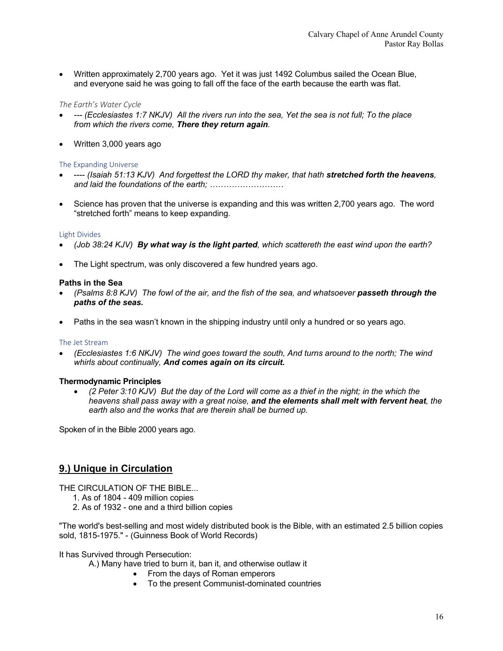• Written approximately 2,700 years ago. Yet it was just 1492 Columbus sailed the Ocean Blue, and everyone said he was going to fall off the face of the earth because the earth was flat.

#### *The Earth's Water Cycle*

- *--- (Ecclesiastes 1:7 NKJV) All the rivers run into the sea, Yet the sea is not full; To the place from which the rivers come, There they return again.*
- Written 3,000 years ago

#### The Expanding Universe

- ---- *(Isaiah 51:13 KJV) And forgettest the LORD thy maker, that hath stretched forth the heavens, and laid the foundations of the earth; ………………………*
- Science has proven that the universe is expanding and this was written 2,700 years ago. The word "stretched forth" means to keep expanding.

#### Light Divides

- *(Job 38:24 KJV) By what way is the light parted, which scattereth the east wind upon the earth?*
- The Light spectrum, was only discovered a few hundred years ago.

#### **Paths in the Sea**

- *(Psalms 8:8 KJV) The fowl of the air, and the fish of the sea, and whatsoever passeth through the paths of the seas.*
- Paths in the sea wasn't known in the shipping industry until only a hundred or so years ago.

#### The Jet Stream

• *(Ecclesiastes 1:6 NKJV) The wind goes toward the south, And turns around to the north; The wind whirls about continually, And comes again on its circuit.*

#### **Thermodynamic Principles**

• *(2 Peter 3:10 KJV) But the day of the Lord will come as a thief in the night; in the which the heavens shall pass away with a great noise, and the elements shall melt with fervent heat, the earth also and the works that are therein shall be burned up.*

Spoken of in the Bible 2000 years ago.

## **9.) Unique in Circulation**

THE CIRCULATION OF THE BIBLE...

- 1. As of 1804 409 million copies
- 2. As of 1932 one and a third billion copies

"The world's best-selling and most widely distributed book is the Bible, with an estimated 2.5 billion copies sold, 1815-1975." - (Guinness Book of World Records)

It has Survived through Persecution:

- A.) Many have tried to burn it, ban it, and otherwise outlaw it
	- From the days of Roman emperors
	- To the present Communist-dominated countries